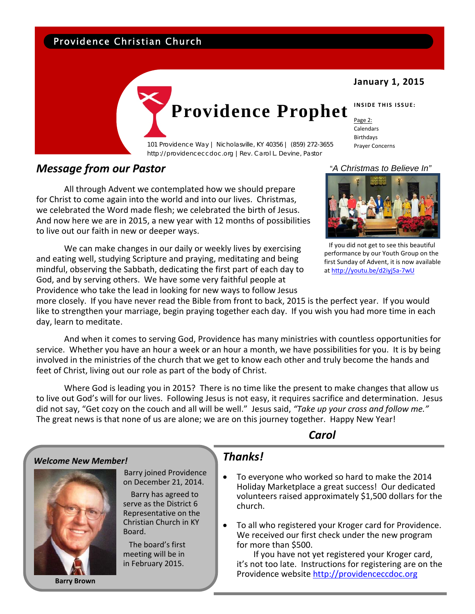## Providence Christian Church

### **January 1, 2015**

# **Providence Prophet**

101 Providence Way | Nicholasville, KY 40356 | (859) 272-3655 Prayer Concerns http://providenceccdoc.org |Rev. Carol L. Devine, Pastor

#### Birthdays

Page 2: Calendars

**INSIDE THIS ISSUE:**

## *Message from our Pastor*

All through Advent we contemplated how we should prepare for Christ to come again into the world and into our lives. Christmas, we celebrated the Word made flesh; we celebrated the birth of Jesus. And now here we are in 2015, a new year with 12 months of possibilities to live out our faith in new or deeper ways.

We can make changes in our daily or weekly lives by exercising and eating well, studying Scripture and praying, meditating and being mindful, observing the Sabbath, dedicating the first part of each day to God, and by serving others. We have some very faithful people at Providence who take the lead in looking for new ways to follow Jesus

 $\sf{Carol}$ 

#### "*A Christmas to Believe In"*



 If you did not get to see this beautiful performance by our Youth Group on the first Sunday of Advent, it is now available at http://youtu.be/d2iyj5a‐7wU

more closely. If you have never read the Bible from front to back, 2015 is the perfect year. If you would like to strengthen your marriage, begin praying together each day. If you wish you had more time in each day, learn to meditate.

And when it comes to serving God, Providence has many ministries with countless opportunities for service. Whether you have an hour a week or an hour a month, we have possibilities for you. It is by being involved in the ministries of the church that we get to know each other and truly become the hands and feet of Christ, living out our role as part of the body of Christ.

Where God is leading you in 2015? There is no time like the present to make changes that allow us to live out God's will for our lives. Following Jesus is not easy, it requires sacrifice and determination. Jesus did not say, "Get cozy on the couch and all will be well." Jesus said, *"Take up your cross and follow me."*  The great news is that none of us are alone; we are on this journey together. Happy New Year!

#### *Welcome New Member!*  Barry joined Providence on December 21, 2014. Barry has agreed to serve as the District 6 Representative on the Christian Church in KY Board. The board's first meeting will be in *Thanks!* • To everyone who worked so hard to make the 2014 church. for more than \$500. If you have not yet registered your Kroger card,

**Barry Brown**

in February 2015.

- Holiday Marketplace a great success! Our dedicated volunteers raised approximately \$1,500 dollars for the
- To all who registered your Kroger card for Providence. We received our first check under the new program

it's not too late. Instructions for registering are on the Providence website http://providenceccdoc.org